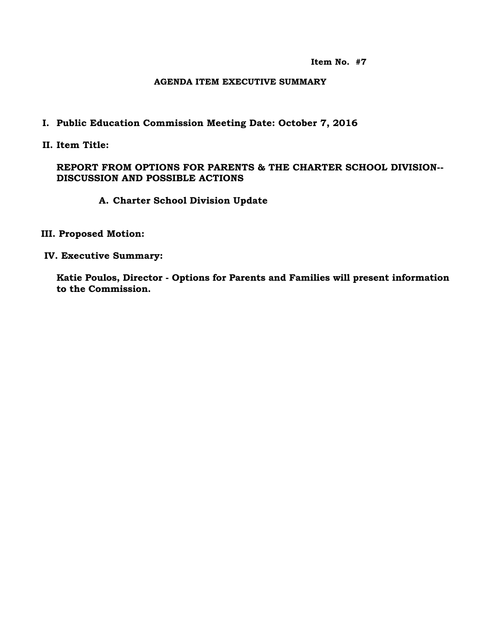**Item No. #7**

#### **AGENDA ITEM EXECUTIVE SUMMARY**

### **I. Public Education Commission Meeting Date: October 7, 2016**

**II. Item Title:** 

### **REPORT FROM OPTIONS FOR PARENTS & THE CHARTER SCHOOL DIVISION-- DISCUSSION AND POSSIBLE ACTIONS**

### **A. Charter School Division Update**

#### **III. Proposed Motion:**

 **IV. Executive Summary:**

**Katie Poulos, Director - Options for Parents and Families will present information to the Commission.**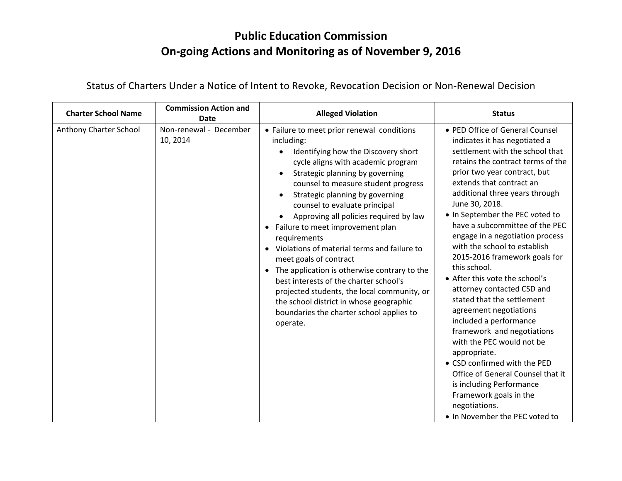## **Public Education Commission On-going Actions and Monitoring as of November 9, 2016**

| <b>Charter School Name</b> | <b>Commission Action and</b><br>Date | <b>Alleged Violation</b>                                                                                                                                                                                                                                                                                                                                                                                                                                                                                                                                                                                                                                                                                                         | <b>Status</b>                                                                                                                                                                                                                                                                                                                                                                                                                                                                                                                                                                                                                                                                                                                                                                                                                                                |
|----------------------------|--------------------------------------|----------------------------------------------------------------------------------------------------------------------------------------------------------------------------------------------------------------------------------------------------------------------------------------------------------------------------------------------------------------------------------------------------------------------------------------------------------------------------------------------------------------------------------------------------------------------------------------------------------------------------------------------------------------------------------------------------------------------------------|--------------------------------------------------------------------------------------------------------------------------------------------------------------------------------------------------------------------------------------------------------------------------------------------------------------------------------------------------------------------------------------------------------------------------------------------------------------------------------------------------------------------------------------------------------------------------------------------------------------------------------------------------------------------------------------------------------------------------------------------------------------------------------------------------------------------------------------------------------------|
| Anthony Charter School     | Non-renewal - December<br>10, 2014   | • Failure to meet prior renewal conditions<br>including:<br>Identifying how the Discovery short<br>cycle aligns with academic program<br>Strategic planning by governing<br>counsel to measure student progress<br>Strategic planning by governing<br>counsel to evaluate principal<br>Approving all policies required by law<br>Failure to meet improvement plan<br>$\bullet$<br>requirements<br>Violations of material terms and failure to<br>meet goals of contract<br>The application is otherwise contrary to the<br>$\bullet$<br>best interests of the charter school's<br>projected students, the local community, or<br>the school district in whose geographic<br>boundaries the charter school applies to<br>operate. | • PED Office of General Counsel<br>indicates it has negotiated a<br>settlement with the school that<br>retains the contract terms of the<br>prior two year contract, but<br>extends that contract an<br>additional three years through<br>June 30, 2018.<br>. In September the PEC voted to<br>have a subcommittee of the PEC<br>engage in a negotiation process<br>with the school to establish<br>2015-2016 framework goals for<br>this school.<br>• After this vote the school's<br>attorney contacted CSD and<br>stated that the settlement<br>agreement negotiations<br>included a performance<br>framework and negotiations<br>with the PEC would not be<br>appropriate.<br>• CSD confirmed with the PED<br>Office of General Counsel that it<br>is including Performance<br>Framework goals in the<br>negotiations.<br>. In November the PEC voted to |

Status of Charters Under a Notice of Intent to Revoke, Revocation Decision or Non-Renewal Decision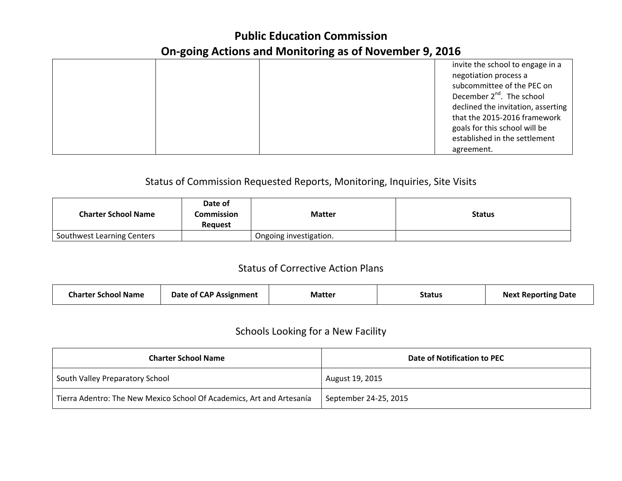## **Public Education Commission On-going Actions and Monitoring as of November 9, 2016**

|  |            | invite the school to engage in a      |
|--|------------|---------------------------------------|
|  |            | negotiation process a                 |
|  |            | subcommittee of the PEC on            |
|  |            | December 2 <sup>nd</sup> . The school |
|  |            | declined the invitation, asserting    |
|  |            | that the 2015-2016 framework          |
|  |            | goals for this school will be         |
|  |            | established in the settlement         |
|  | agreement. |                                       |

### Status of Commission Requested Reports, Monitoring, Inquiries, Site Visits

| <b>Charter School Name</b> | Date of<br>Commission<br><b>Request</b> | <b>Matter</b>          | <b>Status</b> |
|----------------------------|-----------------------------------------|------------------------|---------------|
| Southwest Learning Centers |                                         | Ongoing investigation. |               |

### Status of Corrective Action Plans

| <b>Date of CAP Assignment</b><br><b>Charter School Name</b> | <b>Matter</b> | <b>Status</b> | <b>Next Reporting Date</b> |
|-------------------------------------------------------------|---------------|---------------|----------------------------|
|-------------------------------------------------------------|---------------|---------------|----------------------------|

## Schools Looking for a New Facility

| <b>Charter School Name</b>                                            | Date of Notification to PEC |
|-----------------------------------------------------------------------|-----------------------------|
| South Valley Preparatory School                                       | August 19, 2015             |
| Tierra Adentro: The New Mexico School Of Academics, Art and Artesanía | September 24-25, 2015       |